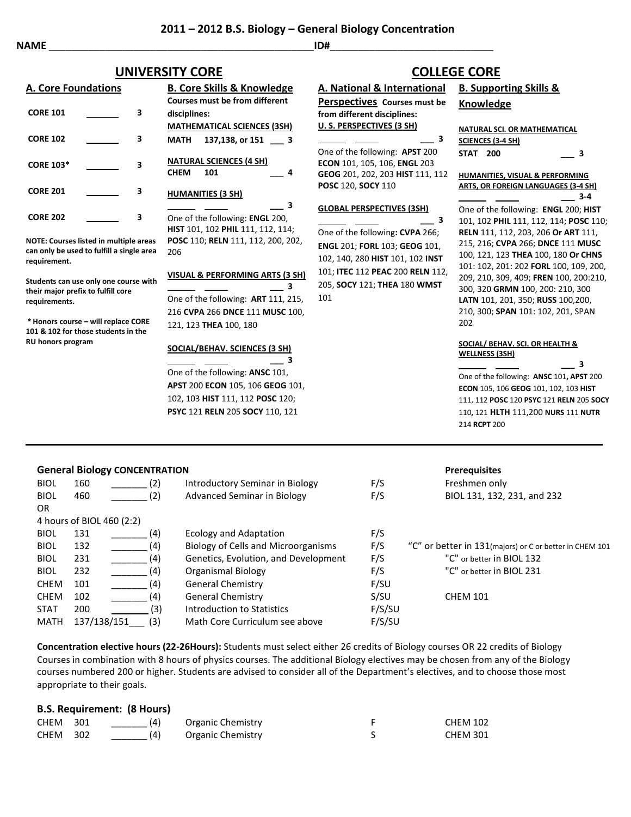## **NAME** \_\_\_\_\_\_\_\_\_\_\_\_\_\_\_\_\_\_\_\_\_\_\_\_\_\_\_\_\_\_\_\_\_\_\_\_\_\_\_\_\_\_\_\_\_\_\_**ID#**\_\_\_\_\_\_\_\_\_\_\_\_\_\_\_\_\_\_\_\_\_\_\_\_\_\_\_\_\_

# **UNIVERSITY CORE COLLEGE CORE**

| <b>A. Core Foundations</b> |  |   | <b>B. Core Skills &amp; Knowledge</b>                |
|----------------------------|--|---|------------------------------------------------------|
|                            |  |   | <b>Courses must be from different</b>                |
| <b>CORE 101</b>            |  | з | disciplines:                                         |
|                            |  |   | <b>MATHEMATICAL SCIENCES (3SH)</b>                   |
| <b>CORE 102</b>            |  | З | 137,138, or 151 3<br>MATH                            |
| <b>CORE 103*</b>           |  | 3 | <b>NATURAL SCIENCES (4 SH)</b><br>101<br><b>CHEM</b> |
| <b>CORE 201</b>            |  | 3 | <b>HUMANITIES (3 SH)</b>                             |
| <b>CORE 202</b>            |  | 3 | 3<br>One of the following: <b>ENGL</b> 200,          |
|                            |  |   | HIST 101, 102 PHIL 111, 112, 114;                    |

**NOTE: Courses listed in multiple areas**  can only be used to fulfill a single are **requirement.**

**Students can use only one course with their major prefix to fulfill core requirements.**

**\* Honors course – will replace CORE 101 & 102 for those students in the RU honors program**

|     | <b>MATHEMATICAL SCIENCES (3SH)</b>              |  |
|-----|-------------------------------------------------|--|
|     | 137,138, or 151<br>MATH<br>3                    |  |
|     | <b>NATURAL SCIENCES (4 SH)</b>                  |  |
|     | <b>CHEM</b><br>101<br>Δ                         |  |
|     | <b>HUMANITIES (3 SH)</b>                        |  |
|     | 3                                               |  |
|     | One of the following: <b>ENGL</b> 200,          |  |
|     | <b>HIST</b> 101, 102 <b>PHIL</b> 111, 112, 114; |  |
| as  | POSC 110; RELN 111, 112, 200, 202,              |  |
| ea  | 206                                             |  |
|     |                                                 |  |
| ith | VISUAL & PERFORMING ARTS (3 SH)                 |  |
|     | з                                               |  |
|     | One of the following: ART 111, 215,             |  |
|     | 216 CVPA 266 DNCE 111 MUSC 100,                 |  |
|     | 121, 123 THEA 100, 180                          |  |
|     |                                                 |  |
|     |                                                 |  |

### **SOCIAL/BEHAV. SCIENCES (3 SH)**

 **\_\_\_ 3** One of the following: **ANSC** 101, **APST** 200 **ECON** 105, 106 **GEOG** 101, 102, 103 **HIST** 111, 112 **POSC** 120; **PSYC** 121 **RELN** 205 **SOCY** 110, 121

### **General Biology CONCENTRATION Prerequisites**

|     |                                          |                                                                                                          |                                                                                                                                                                                                                                                                                                                | .                                                        |
|-----|------------------------------------------|----------------------------------------------------------------------------------------------------------|----------------------------------------------------------------------------------------------------------------------------------------------------------------------------------------------------------------------------------------------------------------------------------------------------------------|----------------------------------------------------------|
| 160 |                                          |                                                                                                          | F/S                                                                                                                                                                                                                                                                                                            | Freshmen only                                            |
| 460 |                                          |                                                                                                          | F/S                                                                                                                                                                                                                                                                                                            | BIOL 131, 132, 231, and 232                              |
|     |                                          |                                                                                                          |                                                                                                                                                                                                                                                                                                                |                                                          |
|     |                                          |                                                                                                          |                                                                                                                                                                                                                                                                                                                |                                                          |
| 131 |                                          |                                                                                                          | F/S                                                                                                                                                                                                                                                                                                            |                                                          |
| 132 |                                          |                                                                                                          | F/S                                                                                                                                                                                                                                                                                                            | "C" or better in 131 (majors) or C or better in CHEM 101 |
| 231 |                                          |                                                                                                          | F/S                                                                                                                                                                                                                                                                                                            | "C" or better in BIOL 132                                |
| 232 |                                          |                                                                                                          | F/S                                                                                                                                                                                                                                                                                                            | "C" or better in BIOL 231                                |
| 101 |                                          |                                                                                                          | F/SU                                                                                                                                                                                                                                                                                                           |                                                          |
| 102 |                                          |                                                                                                          | S/SU                                                                                                                                                                                                                                                                                                           | <b>CHEM 101</b>                                          |
| 200 |                                          |                                                                                                          | F/S/SU                                                                                                                                                                                                                                                                                                         |                                                          |
|     |                                          |                                                                                                          | F/S/SU                                                                                                                                                                                                                                                                                                         |                                                          |
|     | 4 hours of BIOL 460 (2:2)<br>137/138/151 | $55.151$ $0.0106$ $0.0007$ $0.001$<br>(2)<br>(2)<br>(4)<br>(4)<br>(4)<br>(4)<br>(4)<br>(4)<br>(3)<br>(3) | Introductory Seminar in Biology<br><b>Advanced Seminar in Biology</b><br>Ecology and Adaptation<br>Biology of Cells and Microorganisms<br>Genetics, Evolution, and Development<br>Organismal Biology<br>General Chemistry<br>General Chemistry<br>Introduction to Statistics<br>Math Core Curriculum see above |                                                          |

**Concentration elective hours (22-26Hours):** Students must select either 26 credits of Biology courses OR 22 credits of Biology Courses in combination with 8 hours of physics courses. The additional Biology electives may be chosen from any of the Biology courses numbered 200 or higher. Students are advised to consider all of the Department's electives, and to choose those most appropriate to their goals.

### **B.S. Requirement: (8 Hours)**

| <b>CHEM 301</b> | (4) | Organic Chemistry | <b>CHEM 102</b> |
|-----------------|-----|-------------------|-----------------|
| <b>CHEM 302</b> | (4) | Organic Chemistry | <b>CHEM 301</b> |

# **A. National & International**

**Perspectives Courses must be from different disciplines: U. S. PERSPECTIVES (3 SH) \_\_\_ 3**

One of the following: **APST** 200 **ECON** 101, 105, 106, **ENGL** 203 **GEOG** 201, 202, 203 **HIST** 111, 112 **POSC** 120, **SOCY** 110

### **GLOBAL PERSPECTIVES (3SH)**

 **\_\_\_ 3** One of the following**: CVPA** 266; **ENGL** 201; **FORL** 103; **GEOG** 101, 102, 140, 280 **HIST** 101, 102 **INST** 101; **ITEC** 112 **PEAC** 200 **RELN** 112, 205, **SOCY** 121; **THEA** 180 **WMST** 101

## **B. Supporting Skills & Knowledge**

|                          | NATURAL SCI. OR MATHEMATICAL |   |
|--------------------------|------------------------------|---|
| <b>SCIENCES (3-4 SH)</b> |                              |   |
| <b>STAT 200</b>          |                              | 3 |

**HUMANITIES, VISUAL & PERFORMING ARTS, OR FOREIGN LANGUAGES (3-4 SH) \_\_\_ 3-4**

One of the following: **ENGL** 200; **HIST**  101, 102 **PHIL** 111, 112, 114; **POSC** 110; **RELN** 111, 112, 203, 206 **Or ART** 111, 215, 216; **CVPA** 266; **DNCE** 111 **MUSC**  100, 121, 123 **THEA** 100, 180 **Or CHNS**  101: 102, 201: 202 **FORL** 100, 109, 200, 209, 210, 309, 409; **FREN** 100, 200:210, 300, 320 **GRMN** 100, 200: 210, 300 **LATN** 101, 201, 350; **RUSS** 100,200, 210, 300; **SPAN** 101: 102, 201, SPAN 202

### **SOCIAL/ BEHAV. SCI. OR HEALTH & WELLNESS (3SH)**

 **\_\_\_ 3** One of the following: **ANSC** 101**, APST** 200 **ECON** 105, 106 **GEOG** 101, 102, 103 **HIST** 111, 112 **POSC** 120 **PSYC** 121 **RELN** 205 **SOCY** 110**,** 121 **HLTH** 111,200 **NURS** 111 **NUTR**  214 **RCPT** 200